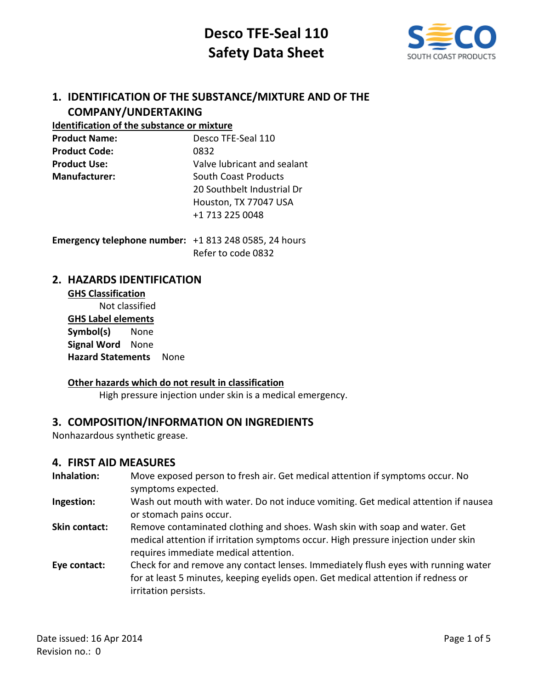

## **1. IDENTIFICATION OF THE SUBSTANCE/MIXTURE AND OF THE COMPANY/UNDERTAKING**

#### **Identification of the substance or mixture**

| <b>Product Name:</b> | Desco TFE-Seal 110          |
|----------------------|-----------------------------|
| <b>Product Code:</b> | 0832                        |
| <b>Product Use:</b>  | Valve lubricant and sealant |
| <b>Manufacturer:</b> | <b>South Coast Products</b> |
|                      | 20 Southbelt Industrial Dr  |
|                      | Houston, TX 77047 USA       |
|                      | +1 713 225 0048             |
|                      |                             |

**Emergency telephone number:** +1 813 248 0585, 24 hours Refer to code 0832

### **2. HAZARDS IDENTIFICATION**

**GHS Classification** Not classified **GHS Label elements Symbol(s)** None **Signal Word** None **Hazard Statements** None

#### **Other hazards which do not result in classification**

High pressure injection under skin is a medical emergency.

## **3. COMPOSITION/INFORMATION ON INGREDIENTS**

Nonhazardous synthetic grease.

#### **4. FIRST AID MEASURES**

- **Inhalation:** Move exposed person to fresh air. Get medical attention if symptoms occur. No symptoms expected.
- **Ingestion:** Wash out mouth with water. Do not induce vomiting. Get medical attention if nausea or stomach pains occur.
- **Skin contact:** Remove contaminated clothing and shoes. Wash skin with soap and water. Get medical attention if irritation symptoms occur. High pressure injection under skin requires immediate medical attention.
- **Eye contact:** Check for and remove any contact lenses. Immediately flush eyes with running water for at least 5 minutes, keeping eyelids open. Get medical attention if redness or irritation persists.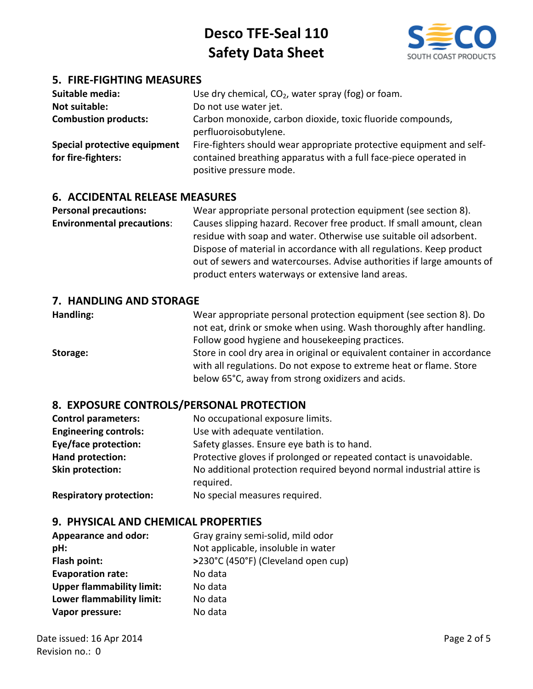

## **5. FIRE-FIGHTING MEASURES**

| Suitable media:<br><b>Not suitable:</b><br><b>Combustion products:</b> | Use dry chemical, $CO2$ , water spray (fog) or foam.<br>Do not use water jet.<br>Carbon monoxide, carbon dioxide, toxic fluoride compounds,<br>perfluoroisobutylene. |
|------------------------------------------------------------------------|----------------------------------------------------------------------------------------------------------------------------------------------------------------------|
| Special protective equipment<br>for fire-fighters:                     | Fire-fighters should wear appropriate protective equipment and self-<br>contained breathing apparatus with a full face-piece operated in<br>positive pressure mode.  |

### **6. ACCIDENTAL RELEASE MEASURES**

**Personal precautions:** Wear appropriate personal protection equipment (see section 8). **Environmental precautions**: Causes slipping hazard. Recover free product. If small amount, clean residue with soap and water. Otherwise use suitable oil adsorbent. Dispose of material in accordance with all regulations. Keep product out of sewers and watercourses. Advise authorities if large amounts of product enters waterways or extensive land areas.

#### **7. HANDLING AND STORAGE**

**Handling:** Wear appropriate personal protection equipment (see section 8). Do not eat, drink or smoke when using. Wash thoroughly after handling. Follow good hygiene and housekeeping practices. **Storage:** Store in cool dry area in original or equivalent container in accordance with all regulations. Do not expose to extreme heat or flame. Store below 65°C, away from strong oxidizers and acids.

## **8. EXPOSURE CONTROLS/PERSONAL PROTECTION**

| <b>Control parameters:</b>   | No occupational exposure limits.                                                  |
|------------------------------|-----------------------------------------------------------------------------------|
| <b>Engineering controls:</b> | Use with adequate ventilation.                                                    |
| <b>Eye/face protection:</b>  | Safety glasses. Ensure eye bath is to hand.                                       |
| Hand protection:             | Protective gloves if prolonged or repeated contact is unavoidable.                |
| Skin protection:             | No additional protection required beyond normal industrial attire is<br>required. |

**Respiratory protection:** No special measures required.

## **9. PHYSICAL AND CHEMICAL PROPERTIES**

| <b>Appearance and odor:</b>      | Gray grainy semi-solid, mild odor   |
|----------------------------------|-------------------------------------|
| pH:                              | Not applicable, insoluble in water  |
| Flash point:                     | >230°C (450°F) (Cleveland open cup) |
| <b>Evaporation rate:</b>         | No data                             |
| <b>Upper flammability limit:</b> | No data                             |
| Lower flammability limit:        | No data                             |
| Vapor pressure:                  | No data                             |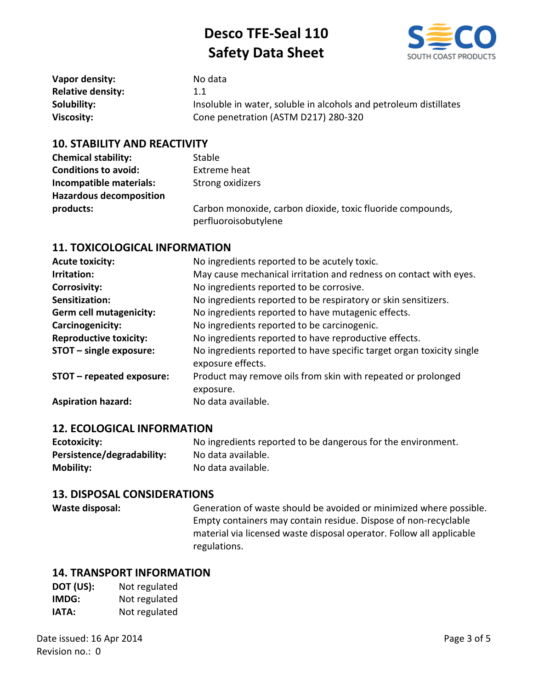

| Vapor density:           | No data                                                           |
|--------------------------|-------------------------------------------------------------------|
| <b>Relative density:</b> | 1.1                                                               |
| Solubility:              | Insoluble in water, soluble in alcohols and petroleum distillates |
| Viscosity:               | Cone penetration (ASTM D217) 280-320                              |

#### **10. STABILITY AND REACTIVITY**

| <b>Chemical stability:</b>     | <b>Stable</b>                                                                      |
|--------------------------------|------------------------------------------------------------------------------------|
| <b>Conditions to avoid:</b>    | Extreme heat                                                                       |
| Incompatible materials:        | Strong oxidizers                                                                   |
| <b>Hazardous decomposition</b> |                                                                                    |
| products:                      | Carbon monoxide, carbon dioxide, toxic fluoride compounds,<br>perfluoroisobutylene |

#### **11. TOXICOLOGICAL INFORMATION**

| <b>Acute toxicity:</b>         | No ingredients reported to be acutely toxic.                                               |
|--------------------------------|--------------------------------------------------------------------------------------------|
| Irritation:                    | May cause mechanical irritation and redness on contact with eyes.                          |
| <b>Corrosivity:</b>            | No ingredients reported to be corrosive.                                                   |
| Sensitization:                 | No ingredients reported to be respiratory or skin sensitizers.                             |
| <b>Germ cell mutagenicity:</b> | No ingredients reported to have mutagenic effects.                                         |
| Carcinogenicity:               | No ingredients reported to be carcinogenic.                                                |
| <b>Reproductive toxicity:</b>  | No ingredients reported to have reproductive effects.                                      |
| STOT - single exposure:        | No ingredients reported to have specific target organ toxicity single<br>exposure effects. |
| STOT - repeated exposure:      | Product may remove oils from skin with repeated or prolonged<br>exposure.                  |
| <b>Aspiration hazard:</b>      | No data available.                                                                         |

#### **12. ECOLOGICAL INFORMATION**

| Ecotoxicity:               | No ingredients reported to be dangerous for the environment. |
|----------------------------|--------------------------------------------------------------|
| Persistence/degradability: | No data available.                                           |
| <b>Mobility:</b>           | No data available.                                           |

#### **13. DISPOSAL CONSIDERATIONS**

Waste disposal: Generation of waste should be avoided or minimized where possible. Empty containers may contain residue. Dispose of non-recyclable material via licensed waste disposal operator. Follow all applicable regulations.

#### **14. TRANSPORT INFORMATION**

| DOT (US): | Not regulated |
|-----------|---------------|
| IMDG:     | Not regulated |
| IATA:     | Not regulated |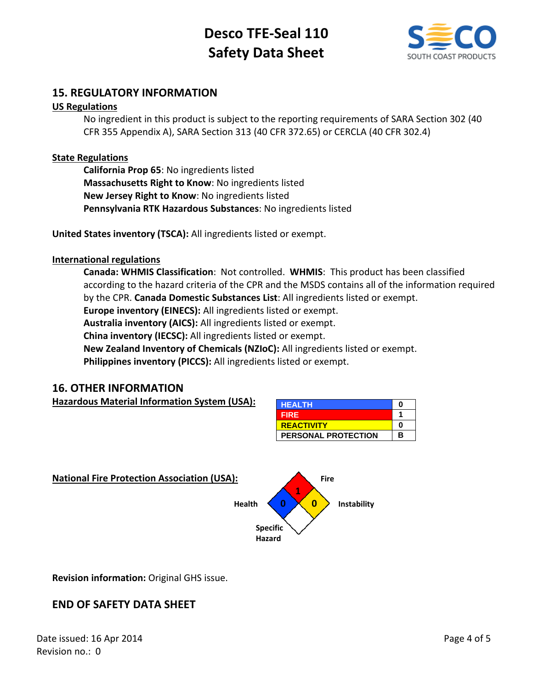

## **15. REGULATORY INFORMATION**

#### **US Regulations**

No ingredient in this product is subject to the reporting requirements of SARA Section 302 (40 CFR 355 Appendix A), SARA Section 313 (40 CFR 372.65) or CERCLA (40 CFR 302.4)

#### **State Regulations**

**California Prop 65**: No ingredients listed **Massachusetts Right to Know**: No ingredients listed **New Jersey Right to Know**: No ingredients listed **Pennsylvania RTK Hazardous Substances**: No ingredients listed

**United States inventory (TSCA):** All ingredients listed or exempt.

#### **International regulations**

**Canada: WHMIS Classification**: Not controlled. **WHMIS**: This product has been classified according to the hazard criteria of the CPR and the MSDS contains all of the information required by the CPR. **Canada Domestic Substances List**: All ingredients listed or exempt. **Europe inventory (EINECS):** All ingredients listed or exempt. **Australia inventory (AICS):** All ingredients listed or exempt. **China inventory (IECSC):** All ingredients listed or exempt. **New Zealand Inventory of Chemicals (NZIoC):** All ingredients listed or exempt. **Philippines inventory (PICCS):** All ingredients listed or exempt.

#### **16. OTHER INFORMATION**

**Hazardous Material Information System (USA):** 

| <b>HEALTH</b>              | o |
|----------------------------|---|
| <b>FIRE</b>                |   |
| <b>REACTIVITY</b>          | Ω |
| <b>PERSONAL PROTECTION</b> | в |



**Revision information:** Original GHS issue.

## **END OF SAFETY DATA SHEET**